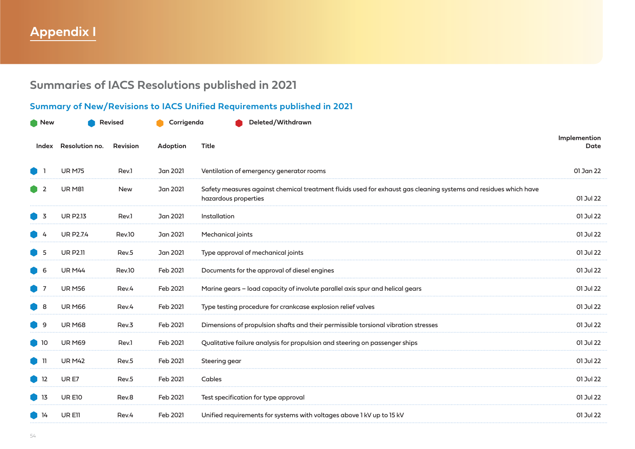# **Appendix I**

# **Summaries of IACS Resolutions published in 2021**

## **Summary of New/Revisions to IACS Unified Requirements published in 2021**

| New               | <b>Revised</b>   |                 | Corrigenda | Deleted/Withdrawn                                                                                                                       |                      |
|-------------------|------------------|-----------------|------------|-----------------------------------------------------------------------------------------------------------------------------------------|----------------------|
| Index             | Resolution no.   | <b>Revision</b> | Adoption   | Title                                                                                                                                   | Implemention<br>Date |
|                   | <b>UR M75</b>    | Rev.1           | Jan 2021   | Ventilation of emergency generator rooms                                                                                                | 01 Jan 22            |
| -2                | <b>UR M81</b>    | <b>New</b>      | Jan 2021   | Safety measures against chemical treatment fluids used for exhaust gas cleaning systems and residues which have<br>hazardous properties | 01 Jul 22            |
| - 3               | <b>UR P2.13</b>  | Rev.1           | Jan 2021   | Installation                                                                                                                            | 01 Jul 22            |
|                   | <b>UR P2.7.4</b> | Rev.10          | Jan 2021   | Mechanical joints                                                                                                                       | 01 Jul 22            |
| -5                | <b>UR P2.11</b>  | Rev.5           | Jan 2021   | Type approval of mechanical joints                                                                                                      | 01 Jul 22            |
| -6                | <b>UR M44</b>    | Rev.10          | Feb 2021   | Documents for the approval of diesel engines                                                                                            | 01 Jul 22            |
|                   | <b>UR M56</b>    | Rev.4           | Feb 2021   | Marine gears – load capacity of involute parallel axis spur and helical gears                                                           | 01 Jul 22            |
| ■ 8               | <b>UR M66</b>    | Rev.4           | Feb 2021   | Type testing procedure for crankcase explosion relief valves                                                                            | 01 Jul 22            |
| -9                | <b>UR M68</b>    | Rev.3           | Feb 2021   | Dimensions of propulsion shafts and their permissible torsional vibration stresses                                                      | 01 Jul 22            |
| $\blacksquare$ 10 | <b>UR M69</b>    | Rev.1           | Feb 2021   | Qualitative failure analysis for propulsion and steering on passenger ships                                                             | 01 Jul 22            |
| D 11              | <b>UR M42</b>    | Rev.5           | Feb 2021   | Steering gear                                                                                                                           | 01 Jul 22            |
| $\blacksquare$ 12 | UR E7            | Rev.5           | Feb 2021   | Cables                                                                                                                                  | 01 Jul 22            |
| - 13              | UR E10           | Rev.8           | Feb 2021   | Test specification for type approval                                                                                                    | 01 Jul 22            |
| 14                | UR E11           | Rev.4           | Feb 2021   | Unified requirements for systems with voltages above 1 kV up to 15 kV                                                                   | 01 Jul 22            |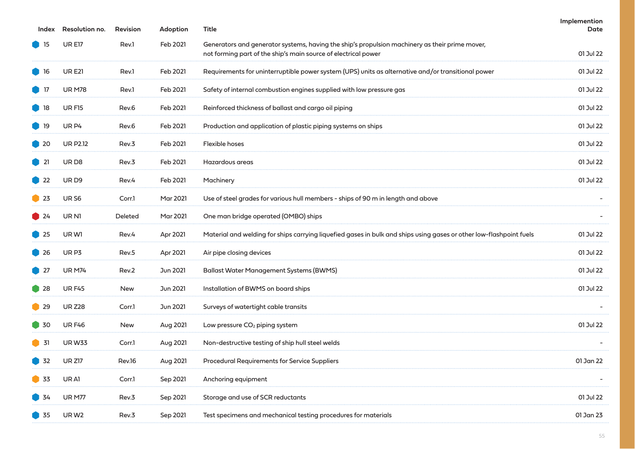| Index        | Resolution no.    | <b>Revision</b> | Adoption        | Title                                                                                                                                                            | Implemention<br>Date |
|--------------|-------------------|-----------------|-----------------|------------------------------------------------------------------------------------------------------------------------------------------------------------------|----------------------|
| $\bullet$ 15 | <b>URE17</b>      | Rev.1           | Feb 2021        | Generators and generator systems, having the ship's propulsion machinery as their prime mover,<br>not forming part of the ship's main source of electrical power | 01 Jul 22            |
| $\bullet$ 16 | <b>URE21</b>      | Rev.1           | Feb 2021        | Requirements for uninterruptible power system (UPS) units as alternative and/or transitional power                                                               | 01 Jul 22            |
| $\bullet$ 17 | <b>UR M78</b>     | Rev.1           | Feb 2021        | Safety of internal combustion engines supplied with low pressure gas                                                                                             | 01 Jul 22            |
| $\bullet$ 18 | <b>URF15</b>      | Rev.6           | Feb 2021        | Reinforced thickness of ballast and cargo oil piping                                                                                                             | 01 Jul 22            |
| $\bullet$ 19 | UR <sub>P4</sub>  | Rev.6           | Feb 2021        | Production and application of plastic piping systems on ships                                                                                                    | 01 Jul 22            |
| $\bullet$ 20 | <b>UR P2.12</b>   | Rev.3           | Feb 2021        | Flexible hoses                                                                                                                                                   | 01 Jul 22            |
| $\bullet$ 21 | URD <sub>8</sub>  | Rev.3           | Feb 2021        | Hazardous areas                                                                                                                                                  | 01 Jul 22            |
| $\bullet$ 22 | URD <sub>9</sub>  | Rev.4           | Feb 2021        | Machinery                                                                                                                                                        | 01 Jul 22            |
| $\bullet$ 23 | UR <sub>S6</sub>  | Corr.1          | <b>Mar 2021</b> | Use of steel grades for various hull members - ships of 90 m in length and above                                                                                 |                      |
| $\bullet$ 24 | UR N1             | Deleted         | Mar 2021        | One man bridge operated (OMBO) ships                                                                                                                             |                      |
| $\bullet$ 25 | UR W1             | Rev.4           | Apr 2021        | Material and welding for ships carrying liquefied gases in bulk and ships using gases or other low-flashpoint fuels                                              | 01 Jul 22            |
| $\bullet$ 26 | UR <sub>P3</sub>  | Rev.5           | Apr 2021        | Air pipe closing devices                                                                                                                                         | 01 Jul 22            |
| $\bullet$ 27 | <b>UR M74</b>     | Rev.2           | Jun 2021        | <b>Ballast Water Management Systems (BWMS)</b>                                                                                                                   | 01 Jul 22            |
| $\bullet$ 28 | <b>URF45</b>      | <b>New</b>      | Jun 2021        | Installation of BWMS on board ships                                                                                                                              | 01 Jul 22            |
| $\bullet$ 29 | <b>UR Z28</b>     | Corr.1          | Jun 2021        | Surveys of watertight cable transits                                                                                                                             |                      |
| $\bullet$ 30 | <b>URF46</b>      | New             | Aug 2021        | Low pressure CO <sub>2</sub> piping system                                                                                                                       | 01 Jul 22            |
| $\bullet$ 31 | <b>URW33</b>      | Corr.1          | Aug 2021        | Non-destructive testing of ship hull steel welds                                                                                                                 |                      |
| 32           | <b>UR Z17</b>     | Rev.16          | Aug 2021        | <b>Procedural Requirements for Service Suppliers</b>                                                                                                             | 01 Jan 22            |
| 33           | UR A1             | Corr.1          | Sep 2021        | Anchoring equipment                                                                                                                                              |                      |
| <b>34</b>    | <b>UR M77</b>     | Rev.3           | Sep 2021        | Storage and use of SCR reductants                                                                                                                                | 01 Jul 22            |
| 35           | UR W <sub>2</sub> | Rev.3           | Sep 2021        | Test specimens and mechanical testing procedures for materials                                                                                                   | 01 Jan 23            |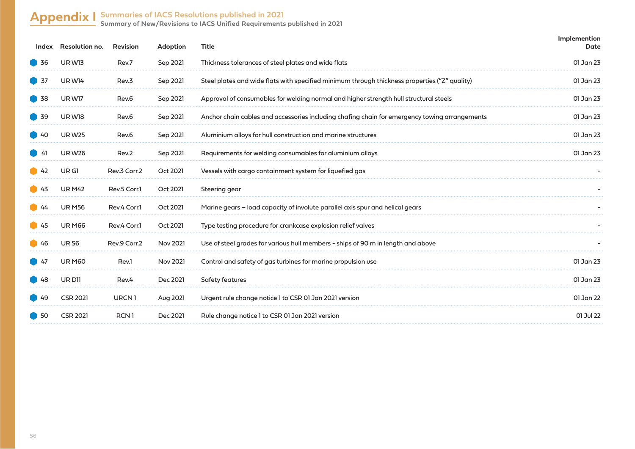## **Appendix I Summaries of IACS Resolutions published in 2021**

**Summary of New/Revisions to IACS Unified Requirements published in 2021**

|                   | Index Resolution no. | <b>Revision</b>   | Adoption        | <b>Title</b>                                                                                  | Implemention<br>Date |
|-------------------|----------------------|-------------------|-----------------|-----------------------------------------------------------------------------------------------|----------------------|
| 36                | <b>UR W13</b>        | Rev.7             | Sep 2021        | Thickness tolerances of steel plates and wide flats                                           | 01 Jan 23            |
| 37                | UR W14               | Rev.3             | Sep 2021        | Steel plates and wide flats with specified minimum through thickness properties ("Z" quality) | 01 Jan 23            |
| 38                | UR W17               | Rev.6             | Sep 2021        | Approval of consumables for welding normal and higher strength hull structural steels         | 01 Jan 23            |
| 39                | UR W18               | Rev.6             | Sep 2021        | Anchor chain cables and accessories including chafing chain for emergency towing arrangements | 01 Jan 23            |
| $\big)$ 40        | <b>UR W25</b>        | Rev.6             | Sep 2021        | Aluminium alloys for hull construction and marine structures                                  | 01 Jan 23            |
| - 41              | <b>URW26</b>         | Rev.2             | Sep 2021        | Requirements for welding consumables for aluminium alloys                                     | 01 Jan 23            |
| $\bullet$ 42      | UR GI                | Rev.3 Corr.2      | Oct 2021        | Vessels with cargo containment system for liquefied gas                                       |                      |
| $\bigcup$ 43      | <b>UR M42</b>        | Rev.5 Corr.1      | Oct 2021        | Steering gear                                                                                 |                      |
| $\blacksquare$ 44 | <b>UR M56</b>        | Rev.4 Corr.1      | Oct 2021        | Marine gears – load capacity of involute parallel axis spur and helical gears                 |                      |
| $\bullet$ 45      | <b>UR M66</b>        | Rev.4 Corr.1      | Oct 2021        | Type testing procedure for crankcase explosion relief valves                                  |                      |
| $\bigcirc$ 46     | UR S6                | Rev.9 Corr.2      | <b>Nov 2021</b> | Use of steel grades for various hull members - ships of 90 m in length and above              |                      |
| <b>147</b>        | <b>UR M60</b>        | Rev.1             | <b>Nov 2021</b> | Control and safety of gas turbines for marine propulsion use                                  | 01 Jan 23            |
| $\bigcup$ 48      | UR D11               | Rev.4             | Dec 2021        | Safety features                                                                               | 01 Jan 23            |
| $\blacksquare$ 49 | <b>CSR 2021</b>      | URCN <sub>1</sub> | <b>Aug 2021</b> | Urgent rule change notice 1 to CSR 01 Jan 2021 version                                        | 01 Jan 22            |
| $\blacksquare$ 50 | <b>CSR 2021</b>      | RCN <sub>1</sub>  | Dec 2021        | Rule change notice 1 to CSR 01 Jan 2021 version                                               | 01 Jul 22            |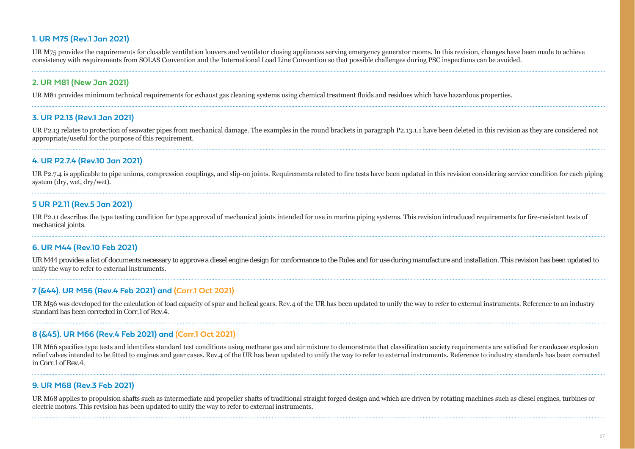#### **1. UR M75 (Rev.1 Jan 2021)**

UR M75 provides the requirements for closable ventilation louvers and ventilator closing appliances serving emergency generator rooms. In this revision, changes have been made to achieve consistency with requirements from SOLAS Convention and the International Load Line Convention so that possible challenges during PSC inspections can be avoided.

#### **2. UR M81 (New Jan 2021)**

UR M81 provides minimum technical requirements for exhaust gas cleaning systems using chemical treatment fluids and residues which have hazardous properties.

#### **3. UR P2.13 (Rev.1 Jan 2021)**

UR P2.13 relates to protection of seawater pipes from mechanical damage. The examples in the round brackets in paragraph P2.13.1.1 have been deleted in this revision as they are considered not appropriate/useful for the purpose of this requirement.

#### **4. UR P2.7.4 (Rev.10 Jan 2021)**

UR P2.7.4 is applicable to pipe unions, compression couplings, and slip-on joints. Requirements related to fire tests have been updated in this revision considering service condition for each piping system (dry, wet, dry/wet).

#### **5 UR P2.11 (Rev.5 Jan 2021)**

UR P2.11 describes the type testing condition for type approval of mechanical joints intended for use in marine piping systems. This revision introduced requirements for fire-resistant tests of mechanical joints.

#### **6. UR M44 (Rev.10 Feb 2021)**

UR M44 provides a list of documents necessary to approve a diesel engine design for conformance to the Rules and for use during manufacture and installation. This revision has been updated to unify the way to refer to external instruments.

#### **7 (&44). UR M56 (Rev.4 Feb 2021) and (Corr.1 Oct 2021)**

UR M56 was developed for the calculation of load capacity of spur and helical gears. Rev.4 of the UR has been updated to unify the way to refer to external instruments. Reference to an industry standard has been corrected in Corr.1 of Rev.4.

#### **8 (&45). UR M66 (Rev.4 Feb 2021) and (Corr.1 Oct 2021)**

UR M66 specifies type tests and identifies standard test conditions using methane gas and air mixture to demonstrate that classification society requirements are satisfied for crankcase explosion relief valves intended to be fitted to engines and gear cases. Rev.4 of the UR has been updated to unify the way to refer to external instruments. Reference to industry standards has been corrected in Corr.1 of Rev.4.

#### **9. UR M68 (Rev.3 Feb 2021)**

UR M68 applies to propulsion shafts such as intermediate and propeller shafts of traditional straight forged design and which are driven by rotating machines such as diesel engines, turbines or electric motors. This revision has been updated to unify the way to refer to external instruments.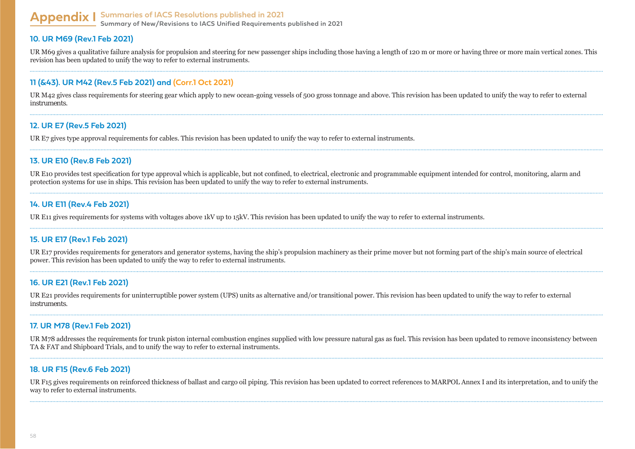#### **Appendix I Summaries of IACS Resolutions published in 2021 Summary of New/Revisions to IACS Unified Requirements published in 2021**

#### **10. UR M69 (Rev.1 Feb 2021)**

UR M69 gives a qualitative failure analysis for propulsion and steering for new passenger ships including those having a length of 120 m or more or having three or more main vertical zones. This revision has been updated to unify the way to refer to external instruments.

#### **11 (&43). UR M42 (Rev.5 Feb 2021) and (Corr.1 Oct 2021)**

UR M42 gives class requirements for steering gear which apply to new ocean-going vessels of 500 gross tonnage and above. This revision has been updated to unify the way to refer to external instruments.

#### **12. UR E7 (Rev.5 Feb 2021)**

UR E7 gives type approval requirements for cables. This revision has been updated to unify the way to refer to external instruments.

#### **13. UR E10 (Rev.8 Feb 2021)**

UR E10 provides test specification for type approval which is applicable, but not confined, to electrical, electronic and programmable equipment intended for control, monitoring, alarm and protection systems for use in ships. This revision has been updated to unify the way to refer to external instruments.

#### **14. UR E11 (Rev.4 Feb 2021)**

UR E11 gives requirements for systems with voltages above 1kV up to 15kV. This revision has been updated to unify the way to refer to external instruments.

#### **15. UR E17 (Rev.1 Feb 2021)**

UR E17 provides requirements for generators and generator systems, having the ship's propulsion machinery as their prime mover but not forming part of the ship's main source of electrical power. This revision has been updated to unify the way to refer to external instruments.

#### **16. UR E21 (Rev.1 Feb 2021)**

UR E21 provides requirements for uninterruptible power system (UPS) units as alternative and/or transitional power. This revision has been updated to unify the way to refer to external **instruments** 

#### **17. UR M78 (Rev.1 Feb 2021)**

UR M78 addresses the requirements for trunk piston internal combustion engines supplied with low pressure natural gas as fuel. This revision has been updated to remove inconsistency between TA & FAT and Shipboard Trials, and to unify the way to refer to external instruments.

#### **18. UR F15 (Rev.6 Feb 2021)**

UR F15 gives requirements on reinforced thickness of ballast and cargo oil piping. This revision has been updated to correct references to MARPOL Annex I and its interpretation, and to unify the way to refer to external instruments.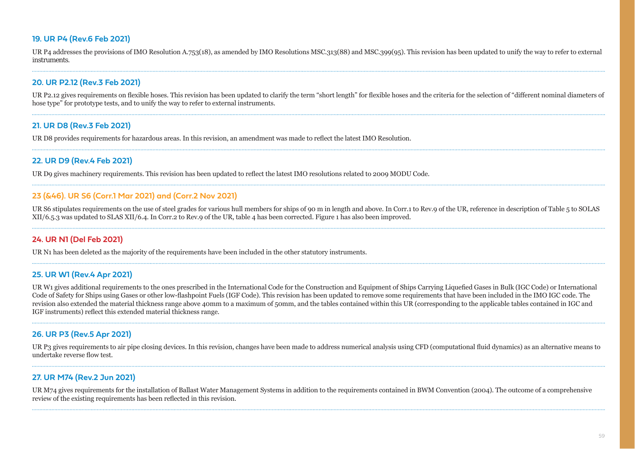#### **19. UR P4 (Rev.6 Feb 2021)**

UR P4 addresses the provisions of IMO Resolution A.753(18), as amended by IMO Resolutions MSC.313(88) and MSC.399(95). This revision has been updated to unify the way to refer to external instruments.

#### **20. UR P2.12 (Rev.3 Feb 2021)**

UR P2.12 gives requirements on flexible hoses. This revision has been updated to clarify the term "short length" for flexible hoses and the criteria for the selection of "different nominal diameters of hose type" for prototype tests, and to unify the way to refer to external instruments.

#### **21. UR D8 (Rev.3 Feb 2021)**

UR D8 provides requirements for hazardous areas. In this revision, an amendment was made to reflect the latest IMO Resolution.

#### **22. UR D9 (Rev.4 Feb 2021)**

UR D9 gives machinery requirements. This revision has been updated to reflect the latest IMO resolutions related to 2009 MODU Code.

#### **23 (&46). UR S6 (Corr.1 Mar 2021) and (Corr.2 Nov 2021)**

UR S6 stipulates requirements on the use of steel grades for various hull members for ships of 90 m in length and above. In Corr.1 to Rev.9 of the UR, reference in description of Table 5 to SOLAS  $XII/6,5.3$  was updated to SLAS XII/6.4. In Corr.2 to Rev.9 of the UR, table 4 has been corrected. Figure 1 has also been improved.

#### **24. UR N1 (Del Feb 2021)**

UR N1 has been deleted as the majority of the requirements have been included in the other statutory instruments.

#### **25. UR W1 (Rev.4 Apr 2021)**

UR W1 gives additional requirements to the ones prescribed in the International Code for the Construction and Equipment of Ships Carrying Liquefied Gases in Bulk (IGC Code) or International Code of Safety for Ships using Gases or other low-flashpoint Fuels (IGF Code). This revision has been updated to remove some requirements that have been included in the IMO IGC code. The revision also extended the material thickness range above 40mm to a maximum of 50mm, and the tables contained within this UR (corresponding to the applicable tables contained in IGC and IGF instruments) reflect this extended material thickness range.

#### **26. UR P3 (Rev.5 Apr 2021)**

UR P3 gives requirements to air pipe closing devices. In this revision, changes have been made to address numerical analysis using CFD (computational fluid dynamics) as an alternative means to undertake reverse flow test.

#### **27. UR M74 (Rev.2 Jun 2021)**

UR M74 gives requirements for the installation of Ballast Water Management Systems in addition to the requirements contained in BWM Convention (2004). The outcome of a comprehensive review of the existing requirements has been reflected in this revision.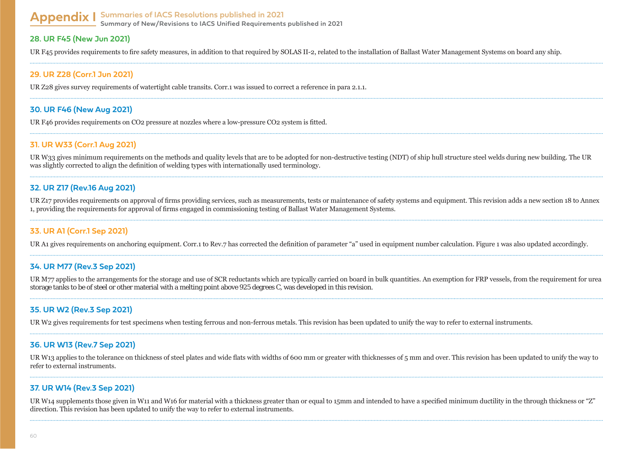# **Appendix I Summaries of IACS Resolutions published in 2021**

**Summary of New/Revisions to IACS Unified Requirements published in 2021**

#### **28. UR F45 (New Jun 2021)**

UR F45 provides requirements to fire safety measures, in addition to that required by SOLAS II-2, related to the installation of Ballast Water Management Systems on board any ship.

#### **29. UR Z28 (Corr.1 Jun 2021)**

UR Z28 gives survey requirements of watertight cable transits. Corr.1 was issued to correct a reference in para 2.1.1.

#### **30. UR F46 (New Aug 2021)**

UR F46 provides requirements on CO2 pressure at nozzles where a low-pressure CO2 system is fitted.

#### **31. UR W33 (Corr.1 Aug 2021)**

UR W33 gives minimum requirements on the methods and quality levels that are to be adopted for non-destructive testing (NDT) of ship hull structure steel welds during new building. The UR was slightly corrected to align the definition of welding types with internationally used terminology.

#### **32. UR Z17 (Rev.16 Aug 2021)**

UR Z17 provides requirements on approval of firms providing services, such as measurements, tests or maintenance of safety systems and equipment. This revision adds a new section 18 to Annex 1, providing the requirements for approval of firms engaged in commissioning testing of Ballast Water Management Systems.

#### **33. UR A1 (Corr.1 Sep 2021)**

UR A1 gives requirements on anchoring equipment. Corr.1 to Rev.7 has corrected the definition of parameter "a" used in equipment number calculation. Figure 1 was also updated accordingly.

#### **34. UR M77 (Rev.3 Sep 2021)**

UR M77 applies to the arrangements for the storage and use of SCR reductants which are typically carried on board in bulk quantities. An exemption for FRP yessels, from the requirement for urea storage tanks to be of steel or other material with a melting point above 925 degrees C, was developed in this revision.

#### **35. UR W2 (Rev.3 Sep 2021)**

UR W2 gives requirements for test specimens when testing ferrous and non-ferrous metals. This revision has been updated to unify the way to refer to external instruments.

#### **36. UR W13 (Rev.7 Sep 2021)**

UR W13 applies to the tolerance on thickness of steel plates and wide flats with widths of 600 mm or greater with thicknesses of 5 mm and over. This revision has been updated to unify the way to refer to external instruments.

#### **37. UR W14 (Rev.3 Sep 2021)**

UR W14 supplements those given in W11 and W16 for material with a thickness greater than or equal to 15mm and intended to have a specified minimum ductility in the through thickness or "Z" direction. This revision has been updated to unify the way to refer to external instruments.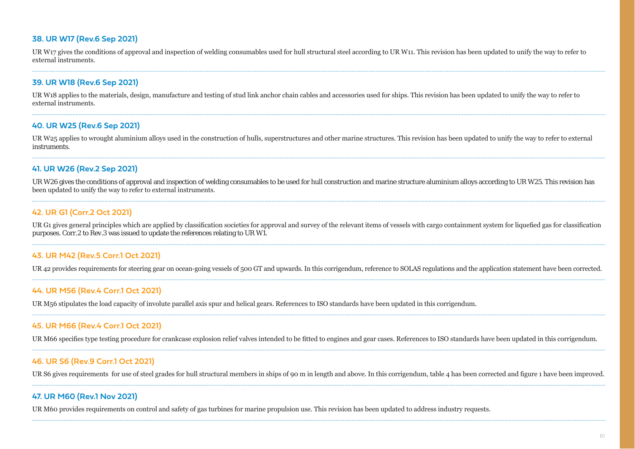#### **38. UR W17 (Rev.6 Sep 2021)**

UR W17 gives the conditions of approval and inspection of welding consumables used for hull structural steel according to UR W11. This revision has been updated to unify the way to refer to external instruments

#### **39. UR W18 (Rev.6 Sep 2021)**

UR W18 applies to the materials, design, manufacture and testing of stud link anchor chain cables and accessories used for ships. This revision has been updated to unify the way to refer to external instruments.

#### **40. UR W25 (Rev.6 Sep 2021)**

UR W25 applies to wrought aluminium alloys used in the construction of hulls, superstructures and other marine structures. This revision has been updated to unify the way to refer to external instruments.

#### **41. UR W26 (Rev.2 Sep 2021)**

UR W26 gives the conditions of approval and inspection of welding consumables to be used for hull construction and marine structure aluminium alloys according to UR W25. This revision has been updated to unify the way to refer to external instruments.

#### **42. UR G1 (Corr.2 Oct 2021)**

URG1 gives general principles which are applied by classification societies for approval and survey of the relevant items of vessels with cargo containment system for liquefied gas for classification purposes. Corr.2 to Rev.3 was issued to update the references relating to UR W1.

#### **43. UR M42 (Rev.5 Corr.1 Oct 2021)**

UR 42 provides requirements for steering gear on ocean-going vessels of 500 GT and upwards. In this corrigendum, reference to SOLAS regulations and the application statement have been corrected.

#### **44. UR M56 (Rev.4 Corr.1 Oct 2021)**

UR M56 stipulates the load capacity of involute parallel axis spur and helical gears. References to ISO standards have been updated in this corrigendum.

#### **45. UR M66 (Rev.4 Corr.1 Oct 2021)**

UR M66 specifies type testing procedure for crankcase explosion relief valves intended to be fitted to engines and gear cases. References to ISO standards have been updated in this corrigendum.

#### **46. UR S6 (Rev.9 Corr.1 Oct 2021)**

UR S6 gives requirements for use of steel grades for hull structural members in ships of 90 m in length and above. In this corrigendum, table 4 has been corrected and figure 1 have been improved.

#### **47. UR M60 (Rev.1 Nov 2021)**

UR M60 provides requirements on control and safety of gas turbines for marine propulsion use. This revision has been updated to address industry requests.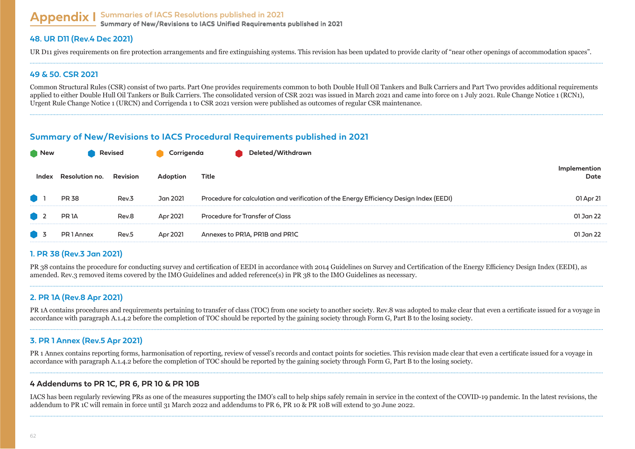#### **Appendix I Summaries of IACS Resolutions published in 2021 Summary of New/Revisions to IACS Unified Requirements published in 2021 Summary of New/Revisions to IACS Unified Requirements published in 2021**

#### **48. UR D11 (Rev.4 Dec 2021)**

UR D11 gives requirements on fire protection arrangements and fire extinguishing systems. This revision has been updated to provide clarity of "near other openings of accommodation spaces".

#### **49 & 50. CSR 2021**

Common Structural Rules (CSR) consist of two parts, Part One provides requirements common to both Double Hull Oil Tankers and Bulk Carriers and Part Two provides additional requirements applied to either Double Hull Oil Tankers or Bulk Carriers. The consolidated version of CSR 2021 was issued in March 2021 and came into force on 1 July 2021. Rule Change Notice 1 (RCN1), Urgent Rule Change Notice 1 (URCN) and Corrigenda 1 to CSR 2021 version were published as outcomes of regular CSR maintenance.

## **Summary of New/Revisions to IACS Procedural Requirements published in 2021**

| ∎ New | Revised           |          |          | Deleted/Withdrawn                                                                       |           |  |
|-------|-------------------|----------|----------|-----------------------------------------------------------------------------------------|-----------|--|
|       | Resolution no.    | Revision | Adoption | Title                                                                                   | Date      |  |
|       | <b>PR 38</b>      | Rev.3    | Jan 2021 | Procedure for calculation and verification of the Energy Efficiency Design Index (EEDI) | 01 Apr 21 |  |
|       | PR <sub>1</sub> A | Rev.8    | Apr 2021 | Procedure for Transfer of Class                                                         | 01 Jan 22 |  |
|       | PR 1 Annex        | Rev.5    | Apr 2021 | Annexes to PR1A, PR1B and PR1C                                                          | 01 Jan 22 |  |

## **1. PR 38 (Rev.3 Jan 2021)**

PR 38 contains the procedure for conducting survey and certification of EEDI in accordance with 2014 Guidelines on Survey and Certification of the Energy Efficiency Design Index (EEDI), as amended. Rev.3 removed items covered by the IMO Guidelines and added reference(s) in PR 38 to the IMO Guidelines as necessary.

## **2. PR 1A (Rev.8 Apr 2021)**

PR 1A contains procedures and requirements pertaining to transfer of class (TOC) from one society to another society. Rev.8 was adopted to make clear that even a certificate issued for a voyage in accordance with paragraph A.1.4.2 before the completion of TOC should be reported by the gaining society through Form G. Part B to the losing society.

#### **3. PR 1 Annex (Rev.5 Apr 2021)**

PR 1 Annex contains reporting forms, harmonisation of reporting, review of vessel's records and contact points for societies. This revision made clear that even a certificate issued for a voyage in accordance with paragraph A.1.4.2 before the completion of TOC should be reported by the gaining society through Form G, Part B to the losing society.

#### **4 Addendums to PR 1C, PR 6, PR 10 & PR 10B**

LACS has been regularly reviewing PRs as one of the measures supporting the IMO's call to help ships safely remain in service in the context of the COVID-19 pandemic. In the latest revisions, the addendum to PR 1C will remain in force until 31 March 2022 and addendums to PR 6, PR 10  $\&$  PR 10B will extend to 30 June 2022.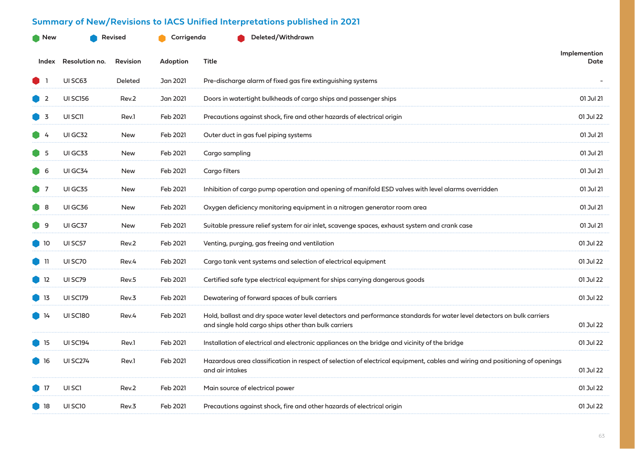## **Summary of New/Revisions to IACS Unified Interpretations published in 2021**

| New               | <b>Revised</b>        |                 | Corrigenda | Deleted/Withdrawn                                                                                                                                                              |                      |  |
|-------------------|-----------------------|-----------------|------------|--------------------------------------------------------------------------------------------------------------------------------------------------------------------------------|----------------------|--|
| Index             | <b>Resolution no.</b> | <b>Revision</b> | Adoption   | Title                                                                                                                                                                          | Implemention<br>Date |  |
|                   | UI SC63               | Deleted         | Jan 2021   | Pre-discharge alarm of fixed gas fire extinguishing systems                                                                                                                    |                      |  |
| - 2               | <b>UI SC156</b>       | Rev.2           | Jan 2021   | Doors in watertight bulkheads of cargo ships and passenger ships                                                                                                               | 01 Jul 21            |  |
| - 3               | UI SC11               | Rev.1           | Feb 2021   | Precautions against shock, fire and other hazards of electrical origin                                                                                                         | 01 Jul 22            |  |
|                   | <b>UI GC32</b>        | <b>New</b>      | Feb 2021   | Outer duct in gas fuel piping systems                                                                                                                                          | 01 Jul 21            |  |
| - 5               | UI GC33               | <b>New</b>      | Feb 2021   | Cargo sampling                                                                                                                                                                 | 01 Jul 21            |  |
| $\blacksquare$ 6  | UI GC34               | <b>New</b>      | Feb 2021   | Cargo filters                                                                                                                                                                  | 01 Jul 21            |  |
| $\blacksquare$    | UI GC35               | <b>New</b>      | Feb 2021   | Inhibition of cargo pump operation and opening of manifold ESD valves with level alarms overridden                                                                             | 01 Jul 21            |  |
| -8                | UIGC36                | New             | Feb 2021   | Oxygen deficiency monitoring equipment in a nitrogen generator room area                                                                                                       | 01 Jul 21            |  |
| -9                | UIGC37                | <b>New</b>      | Feb 2021   | Suitable pressure relief system for air inlet, scavenge spaces, exhaust system and crank case                                                                                  | 01 Jul 21            |  |
| $\blacksquare$ 10 | UI SC57               | Rev.2           | Feb 2021   | Venting, purging, gas freeing and ventilation                                                                                                                                  | 01 Jul 22            |  |
| -11               | UI SC70               | Rev.4           | Feb 2021   | Cargo tank vent systems and selection of electrical equipment                                                                                                                  | 01 Jul 22            |  |
| $\blacksquare$ 12 | UI SC79               | Rev.5           | Feb 2021   | Certified safe type electrical equipment for ships carrying dangerous goods                                                                                                    | 01 Jul 22            |  |
| J 13              | <b>UI SC179</b>       | Rev.3           | Feb 2021   | Dewatering of forward spaces of bulk carriers                                                                                                                                  | 01 Jul 22            |  |
| $\blacksquare$ 14 | <b>UI SC180</b>       | Rev.4           | Feb 2021   | Hold, ballast and dry space water level detectors and performance standards for water level detectors on bulk carriers<br>and single hold cargo ships other than bulk carriers | 01 Jul 22            |  |
| $\blacksquare$ 15 | <b>UI SC194</b>       | Rev.1           | Feb 2021   | Installation of electrical and electronic appliances on the bridge and vicinity of the bridge                                                                                  | 01 Jul 22            |  |
| 16                | <b>UI SC274</b>       | Rev.1           | Feb 2021   | Hazardous area classification in respect of selection of electrical equipment, cables and wiring and positioning of openings<br>and air intakes                                | 01 Jul 22            |  |
| -17               | UI SCI                | Rev.2           | Feb 2021   | Main source of electrical power                                                                                                                                                | 01 Jul 22            |  |
| $\blacksquare$ 18 | UI SCIO               | Rev.3           | Feb 2021   | Precautions against shock, fire and other hazards of electrical origin                                                                                                         | 01 Jul 22            |  |
|                   |                       |                 |            |                                                                                                                                                                                |                      |  |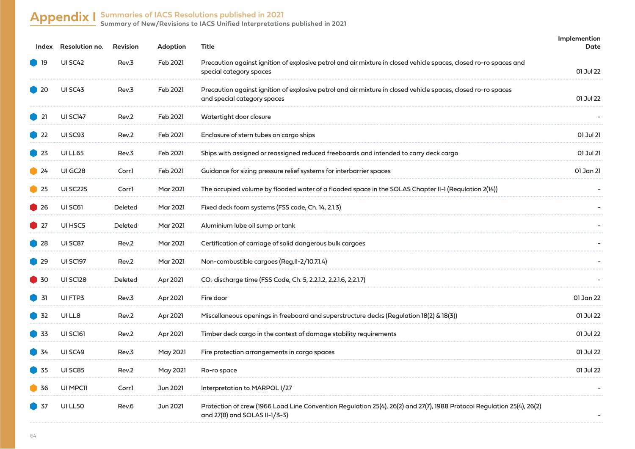## **Appendix I Summaries of IACS Resolutions published in 2021**

**Summary of New/Revisions to IACS Unified Interpretations published in 2021**

|                                                | Index Resolution no. | <b>Revision</b> | Adoption        | Title                                                                                                                                                   | Implemention<br>Date |
|------------------------------------------------|----------------------|-----------------|-----------------|---------------------------------------------------------------------------------------------------------------------------------------------------------|----------------------|
| 19                                             | UI SC42              | Rev.3           | Feb 2021        | Precaution against ignition of explosive petrol and air mixture in closed vehicle spaces, closed ro-ro spaces and<br>special category spaces            | 01 Jul 22            |
| $\bullet$ 20                                   | UI SC43              | Rev.3           | Feb 2021        | Precaution against ignition of explosive petrol and air mixture in closed vehicle spaces, closed ro-ro spaces<br>and special category spaces            | 01 Jul 22            |
| $\Box$ 21                                      | <b>UI SC147</b>      | Rev.2           | Feb 2021        | Watertight door closure                                                                                                                                 |                      |
| $\blacksquare$ 22                              | UI SC93              | Rev.2           | Feb 2021        | Enclosure of stern tubes on cargo ships                                                                                                                 | 01 Jul 21            |
| $\overline{2}$ 23                              | UI LL65              | Rev.3           | Feb 2021        | Ships with assigned or reassigned reduced freeboards and intended to carry deck cargo                                                                   | 01 Jul 21            |
| $\bullet$ 24                                   | UI GC28              | Corr.1          | Feb 2021        | Guidance for sizing pressure relief systems for interbarrier spaces                                                                                     | 01 Jan 21            |
| $\blacksquare$ 25                              | <b>UI SC225</b>      | Corr.1          | <b>Mar 2021</b> | The occupied volume by flooded water of a flooded space in the SOLAS Chapter II-1 (Requlation 2(14))                                                    |                      |
| $\bullet$ 26                                   | UI SC61              | Deleted         | <b>Mar 2021</b> | Fixed deck foam systems (FSS code, Ch. 14, 2.1.3)                                                                                                       |                      |
| $\begin{array}{ c c }\n\hline\n\end{array}$ 27 | UI HSC5              | Deleted         | Mar 2021        | Aluminium lube oil sump or tank                                                                                                                         |                      |
| $\bullet$ 28                                   | UI SC87              | Rev.2           | <b>Mar 2021</b> | Certification of carriage of solid dangerous bulk cargoes                                                                                               |                      |
| $\big)$ 29                                     | <b>UI SC197</b>      | Rev.2           | <b>Mar 2021</b> | Non-combustible cargoes (Reg.II-2/10.7.1.4)                                                                                                             |                      |
| $\blacksquare$ 30                              | <b>UI SC128</b>      | Deleted         | Apr 2021        | CO <sub>2</sub> discharge time (FSS Code, Ch. 5, 2.2.1.2, 2.2.1.6, 2.2.1.7)                                                                             |                      |
| 31                                             | UI FTP3              | Rev.3           | Apr 2021        | Fire door                                                                                                                                               | 01 Jan 22            |
| 32                                             | UI LL8               | Rev.2           | Apr 2021        | Miscellaneous openings in freeboard and superstructure decks (Regulation 18(2) & 18(3))                                                                 | 01 Jul 22            |
| 33                                             | UI SC161             | Rev.2           | Apr 2021        | Timber deck cargo in the context of damage stability requirements                                                                                       | 01 Jul 22            |
| 34                                             | UI SC49              | Rev.3           | May 2021        | Fire protection arrangements in cargo spaces                                                                                                            | 01 Jul 22            |
| 35                                             | UI SC85              | Rev.2           | <b>May 2021</b> | Ro-ro space                                                                                                                                             | 01 Jul 22            |
| 36                                             | UI MPC11             | Corr.1          | Jun 2021        | Interpretation to MARPOL I/27                                                                                                                           |                      |
| $\overline{37}$                                | UI LL50              | Rev.6           | Jun 2021        | Protection of crew (1966 Load Line Convention Regulation 25(4), 26(2) and 27(7), 1988 Protocol Regulation 25(4), 26(2)<br>and 27(8) and SOLAS II-1/3-3) |                      |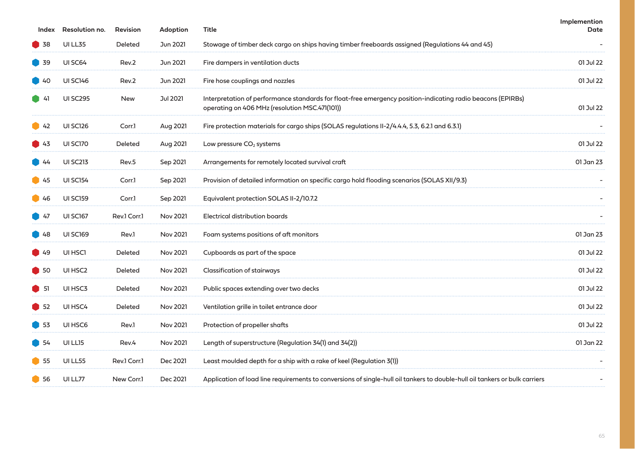| Index             | Resolution no.      | <b>Revision</b> | <b>Adoption</b> | Title                                                                                                                                                         | Implemention<br><b>Date</b> |
|-------------------|---------------------|-----------------|-----------------|---------------------------------------------------------------------------------------------------------------------------------------------------------------|-----------------------------|
| $\blacksquare$ 38 | <b>UI LL35</b>      | <b>Deleted</b>  | Jun 2021        | Stowage of timber deck cargo on ships having timber freeboards assigned (Regulations 44 and 45)                                                               |                             |
| $\blacksquare$ 39 | UI SC64             | Rev.2           | Jun 2021        | Fire dampers in ventilation ducts                                                                                                                             | 01 Jul 22                   |
| ■ 40              | <b>UI SC146</b>     | Rev.2           | Jun 2021        | Fire hose couplings and nozzles                                                                                                                               | 01 Jul 22                   |
| $\blacksquare$ 41 | <b>UI SC295</b>     | <b>New</b>      | <b>Jul 2021</b> | Interpretation of performance standards for float-free emergency position-indicating radio beacons (EPIRBs)<br>operating on 406 MHz (resolution MSC.471(101)) | 01 Jul 22                   |
| $\blacksquare$ 42 | <b>UI SC126</b>     | Corr.1          | Aug 2021        | Fire protection materials for cargo ships (SOLAS regulations II-2/4.4.4, 5.3, 6.2.1 and 6.3.1)                                                                |                             |
| $\blacksquare$ 43 | UI SC170            | Deleted         | Aug 2021        | Low pressure CO <sub>2</sub> systems                                                                                                                          | 01 Jul 22                   |
| $\blacksquare$ 44 | <b>UI SC213</b>     | Rev.5           | Sep 2021        | Arrangements for remotely located survival craft                                                                                                              | 01 Jan 23                   |
| ■ 45              | <b>UI SC154</b>     | Corr.1          | Sep 2021        | Provision of detailed information on specific cargo hold flooding scenarios (SOLAS XII/9.3)                                                                   |                             |
| $\bigcup$ 46      | <b>UI SC159</b>     | Corr.1          | Sep 2021        | Equivalent protection SOLAS II-2/10.7.2                                                                                                                       |                             |
| $\blacksquare$ 47 | <b>UI SC167</b>     | Rev.1 Corr.1    | <b>Nov 2021</b> | Electrical distribution boards                                                                                                                                |                             |
| $\bigcup$ 48      | <b>UI SC169</b>     | Rev.1           | Nov 2021        | Foam systems positions of aft monitors                                                                                                                        | 01 Jan 23                   |
| $\blacksquare$ 49 | UI HSCI             | Deleted         | <b>Nov 2021</b> | Cupboards as part of the space                                                                                                                                | 01 Jul 22                   |
| $\blacksquare$ 50 | UI HSC <sub>2</sub> | <b>Deleted</b>  | <b>Nov 2021</b> | <b>Classification of stairways</b>                                                                                                                            | 01 Jul 22                   |
| $\blacksquare$    | UI HSC3             | Deleted         | <b>Nov 2021</b> | Public spaces extending over two decks                                                                                                                        | 01 Jul 22                   |
| $\blacksquare$ 52 | UI HSC4             | Deleted         | <b>Nov 2021</b> | Ventilation grille in toilet entrance door                                                                                                                    | 01 Jul 22                   |
| $\bigcirc$ 53     | UI HSC6             | Rev.1           | Nov 2021        | Protection of propeller shafts                                                                                                                                | 01 Jul 22                   |
| 54                | UI LL15             | Rev.4           | Nov 2021        | Length of superstructure (Regulation 34(1) and 34(2))                                                                                                         | 01 Jan 22                   |
| 55                | UI LL55             | Rev.1 Corr.1    | Dec 2021        | Least moulded depth for a ship with a rake of keel (Regulation 3(1))                                                                                          |                             |
| $\blacksquare$ 56 | UI LL77             | New Corr.1      | Dec 2021        | Application of load line requirements to conversions of single-hull oil tankers to double-hull oil tankers or bulk carriers                                   |                             |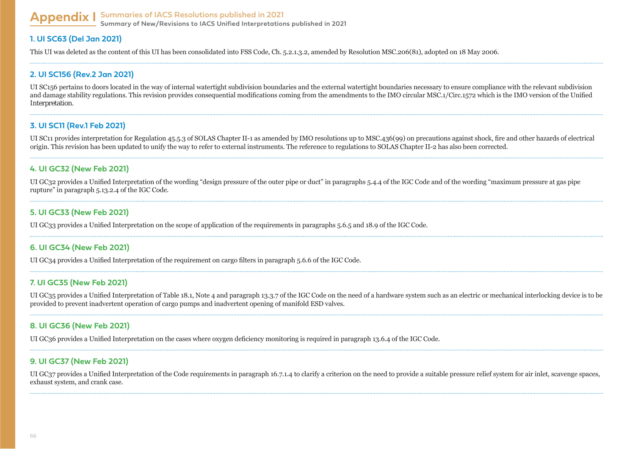#### **Appendix I Summaries of IACS Resolutions published in 2021 Summary of New/Revisions to IACS Unified Interpretations published in 2021**

#### **1. UI SC63 (Del Jan 2021)**

This UI was deleted as the content of this UI has been consolidated into FSS Code, Ch. 5.2.1.3.2, amended by Resolution MSC.206(81), adopted on 18 May 2006.

#### **2. UI SC156 (Rev.2 Jan 2021)**

UI SC156 pertains to doors located in the way of internal watertight subdivision boundaries and the external watertight boundaries necessary to ensure compliance with the relevant subdivision and damage stability regulations. This revision provides consequential modifications coming from the amendments to the IMO circular MSC.1/Circ.1572 which is the IMO version of the Unified Interpretation.

#### **3. UI SC11 (Rev.1 Feb 2021)**

UI SC11 provides interpretation for Regulation 45.5.3 of SOLAS Chapter II-1 as amended by IMO resolutions up to MSC.436(99) on precautions against shock, fire and other hazards of electrical origin. This revision has been updated to unify the way to refer to external instruments. The reference to regulations to SOLAS Chapter II-2 has also been corrected.

#### **4. UI GC32 (New Feb 2021)**

UI GC32 provides a Unified Interpretation of the wording "design pressure of the outer pipe or duct" in paragraphs 5.4.4 of the IGC Code and of the wording "maximum pressure at gas pipe rupture" in paragraph 5.13.2.4 of the IGC Code.

#### **5. UI GC33 (New Feb 2021)**

UI GC33 provides a Unified Interpretation on the scope of application of the requirements in paragraphs 5.6.5 and 18.9 of the IGC Code.

#### **6. UI GC34 (New Feb 2021)**

UI GC34 provides a Unified Interpretation of the requirement on cargo filters in paragraph 5.6.6 of the IGC Code.

#### **7. UI GC35 (New Feb 2021)**

UI GC35 provides a Unified Interpretation of Table 18.1, Note 4 and paragraph 13.3.7 of the IGC Code on the need of a hardware system such as an electric or mechanical interlocking device is to be  $S<sub>1</sub>$  surface to prevent inadvertent operation of cargo pumps and inadvertent opening of manifold ESD valves.

#### **8. UI GC36 (New Feb 2021)**

UI GC36 provides a Unified Interpretation on the cases where oxygen deficiency monitoring is required in paragraph 13.6.4 of the IGC Code.

#### **9. UI GC37 (New Feb 2021)**

UI GC37 provides a Unified Interpretation of the Code requirements in paragraph 16.7.1.4 to clarify a criterion on the need to provide a suitable pressure relief system for air inlet, scavenge spaces, exhaust system, and crank case.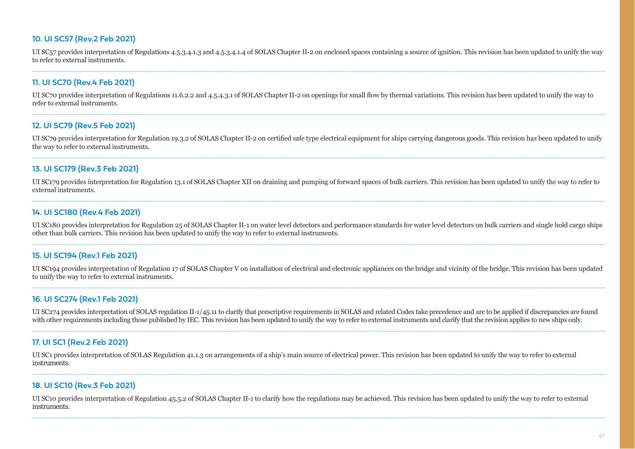#### **10. UI SC57 (Rev.2 Feb 2021)**

UI SC<sub>57</sub> provides interpretation of Regulations 4.5.3.4.1.3 and 4.5.3.4.1.4 of SOLAS Chapter II-2 on enclosed spaces containing a source of ignition. This revision has been updated to unify the way to refer to external instruments.

#### **11. UI SC70 (Rev.4 Feb 2021)**

UI SC70 provides interpretation of Regulations 11.6.2.2 and 4.5.4.3.1 of SOLAS Chapter II-2 on openings for small flow by thermal variations. This revision has been updated to unify the way to refer to external instruments.

#### **12. UI SC79 (Rev.5 Feb 2021)**

UI SC79 provides interpretation for Regulation 19.3.2 of SOLAS Chapter II-2 on certified safe type electrical equipment for ships carrying dangerous goods. This revision has been updated to unify the way to refer to external instruments.

#### **13. UI SC179 (Rev.3 Feb 2021)**

UI SC179 provides interpretation for Regulation 13.1 of SOLAS Chapter XII on draining and pumping of forward spaces of bulk carriers. This revision has been updated to unify the way to refer to external instruments.

#### **14. UI SC180 (Rev.4 Feb 2021)**

UI SC180 provides interpretation for Regulation 25 of SOLAS Chapter II-1 on water level detectors and performance standards for water level detectors on bulk carriers and single hold cargo ships other than bulk carriers. This revision has been updated to unify the way to refer to external instruments.

#### **15. UI SC194 (Rev.1 Feb 2021)**

UI SC194 provides interpretation of Regulation 17 of SOLAS Chapter V on installation of electrical and electronic appliances on the bridge and vicinity of the bridge. This revision has been updated to unify the way to refer to external instruments.

#### **16. UI SC274 (Rev.1 Feb 2021)**

UI SC274 provides interpretation of SOLAS regulation II-1/45.11 to clarify that prescriptive requirements in SOLAS and related Codes take precedence and are to be applied if discrepancies are found with other requirements including those published by IEC. This revision has been updated to unify the way to refer to external instruments and clarify that the revision applies to new ships only.

#### **17. UI SC1 (Rev.2 Feb 2021)**

UI SC1 provides interpretation of SOLAS Regulation 41.1.3 on arrangements of a ship's main source of electrical power. This revision has been updated to unify the way to refer to external instruments.

#### **18. UI SC10 (Rev.3 Feb 2021)**

UI SC10 provides interpretation of Regulation 45.5.2 of SOLAS Chapter II-1 to clarify how the regulations may be achieved. This revision has been updated to unify the way to refer to external instruments.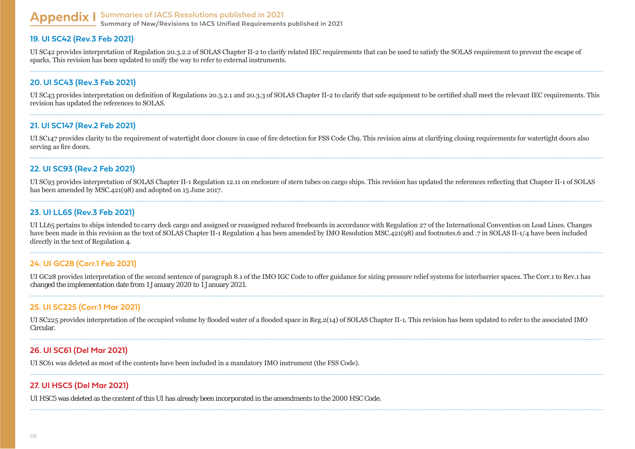#### **Appendix I Summaries of IACS Resolutions published in 2021 Summary of New/Revisions to IACS Unified Requirements published in 2021**

#### **19. UI SC42 (Rev.3 Feb 2021)**

UI SC42 provides interpretation of Regulation 20.3.2.2 of SOLAS Chapter II-2 to clarify related IEC requirements that can be used to satisfy the SOLAS requirement to prevent the escape of sparks. This revision has been updated to unify the way to refer to external instruments.

#### **20. UI SC43 (Rev.3 Feb 2021)**

UI SC43 provides interpretation on definition of Regulations 20.3.2.1 and 20.3.3 of SOLAS Chapter II-2 to clarify that safe equipment to be certified shall meet the relevant IEC requirements. This revision has undated the references to SOLAS.

#### **21. UI SC147 (Rev.2 Feb 2021)**

UI SC147 provides clarity to the requirement of watertight door closure in case of fire detection for FSS Code Cho. This revision aims at clarifying closing requirements for watertight doors also serving as fire doors.

#### **22. UI SC93 (Rev.2 Feb 2021)**

UI SC93 provides interpretation of SOLAS Chapter II-1 Regulation 12.11 on enclosure of stern tubes on cargo ships. This revision has updated the references reflecting that Chapter II-1 of SOLAS has been amended by MSC.421(98) and adopted on 15 June 2017.

## **23. UI LL65 (Rev.3 Feb 2021)**

UI LL65 pertains to ships intended to carry deck cargo and assigned or reassigned reduced freeboards in accordance with Regulation 27 of the International Convention on Load Lines. Changes have been made in this revision as the text of SOLAS Chapter II-1 Regulation 4 has been amended by IMO Resolution MSC.421(98) and footnotes.6 and .7 in SOLAS II-1/4 have been included directly in the text of Regulation 4.

#### **24. UI GC28 (Corr.1 Feb 2021)**

UI GC28 provides interpretation of the second sentence of paragraph 8.1 of the IMO IGC Code to offer guidance for sizing pressure relief systems for interbarrier spaces. The Corr.1 to Rev.1 has changed the implementation date from 1 January 2020 to 1 January 2021.

#### **25. UI SC225 (Corr.1 Mar 2021)**

UI SC225 provides interpretation of the occupied volume by flooded water of a flooded space in Reg.2(14) of SOLAS Chapter II-1. This revision has been updated to refer to the associated IMO Circular.

#### **26. UI SC61 (Del Mar 2021)**

UI SC61 was deleted as most of the contents have been included in a mandatory IMO instrument (the FSS Code).

#### **27. UI HSC5 (Del Mar 2021)**

UI HSC5 was deleted as the content of this UI has already been incorporated in the amendments to the 2000 HSC Code.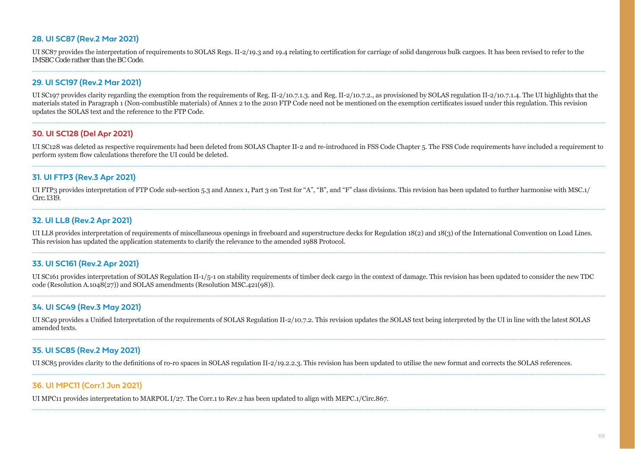#### **28. UI SC87 (Rev.2 Mar 2021)**

UI SC87 provides the interpretation of requirements to SOLAS Regs. II-2/19.3 and 19.4 relating to certification for carriage of solid dangerous bulk cargoes. It has been revised to refer to the IMSBC Code rather than the BC Code.

#### **29. UI SC197 (Rev.2 Mar 2021)**

UI SC197 provides clarity regarding the exemption from the requirements of Reg. II-2/10.7.1.3. and Reg. II-2/10.7.2., as provisioned by SOLAS regulation II-2/10.7.1.4. The UI highlights that the materials stated in Paragraph 1 (Non-combustible materials) of Annex 2 to the 2010 FTP Code need not be mentioned on the exemption certificates issued under this regulation. This revision updates the SOLAS text and the reference to the FTP Code.

#### **30. UI SC128 (Del Apr 2021)**

UI SC128 was deleted as respective requirements had been deleted from SOLAS Chapter II-2 and re-introduced in FSS Code Chapter 5. The FSS Code requirements have included a requirement to perform system flow calculations therefore the UI could be deleted.

#### **31. UI FTP3 (Rev.3 Apr 2021)**

UI FTP3 provides interpretation of FTP Code sub-section 5.3 and Annex 1, Part 3 on Test for "A", "B", and "F" class divisions. This revision has been updated to further harmonise with MSC.1/ Circ.1319.

#### **32. UI LL8 (Rev.2 Apr 2021)**

UI LL8 provides interpretation of requirements of miscellaneous openings in freeboard and superstructure decks for Regulation 18(2) and 18(3) of the International Convention on Load Lines. This revision has updated the application statements to clarify the relevance to the amended 1988 Protocol.

#### **33. UI SC161 (Rev.2 Apr 2021)**

UI SC161 provides interpretation of SOLAS Regulation II-1/5-1 on stability requirements of timber deck cargo in the context of damage. This revision has been updated to consider the new TDC  $code(Resolution A.1048(27))$  and SOLAS amendments (Resolution MSC.421(98)).

#### **34. UI SC49 (Rev.3 May 2021)**

UI SC49 provides a Unified Interpretation of the requirements of SOLAS Regulation II-2/10.7.2. This revision updates the SOLAS text being interpreted by the UI in line with the latest SOLAS amended texts.

#### **35. UI SC85 (Rev.2 May 2021)**

UI SC85 provides clarity to the definitions of ro-ro spaces in SOLAS regulation II-2/19.2.2.3. This revision has been updated to utilise the new format and corrects the SOLAS references.

#### **36. UI MPC11 (Corr.1 Jun 2021)**

UI MPC11 provides interpretation to MARPOL  $1/27$ . The Corr.1 to Rev.2 has been updated to align with MEPC.1/Circ.867.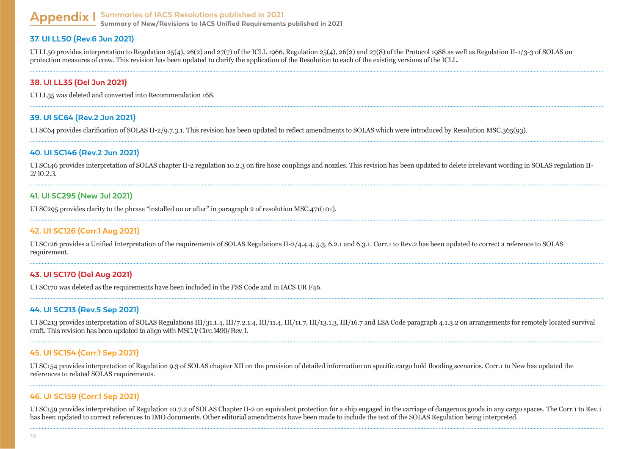#### **Appendix I Summaries of IACS Resolutions published in 2021 Summary of New/Revisions to IACS Unified Requirements published in 2021**

#### **37. UI LL50 (Rev.6 Jun 2021)**

UI LL50 provides interpretation to Regulation 25(4), 26(2) and 27(7) of the ICLL 1966, Regulation 25(4), 26(2) and 27(8) of the Protocol 1988 as well as Regulation II-1/3-3 of SOLAS on protection measures of crew. This revision has been updated to clarify the application of the Resolution to each of the existing versions of the ICLL.

#### **38. UI LL35 (Del Jun 2021)**

UI LL35 was deleted and converted into Recommendation 168.

#### **39. UI SC64 (Rev.2 Jun 2021)**

UI SC64 provides clarification of SOLAS II-2/9.7.3.1. This revision has been updated to reflect amendments to SOLAS which were introduced by Resolution MSC.365(93).

#### **40. UI SC146 (Rev.2 Jun 2021)**

UI SC146 provides interpretation of SOLAS chapter II-2 regulation 10.2.3 on fire hose couplings and nozzles. This revision has been updated to delete irrelevant wording in SOLAS regulation II-2/10.2.3.

#### **41. UI SC295 (New Jul 2021)**

UI SC295 provides clarity to the phrase "installed on or after" in paragraph 2 of resolution MSC.471(101).

#### **42. UI SC126 (Corr.1 Aug 2021)**

UI SC126 provides a Unified Interpretation of the requirements of SOLAS Regulations II-2/4.4.4, 5.3, 6.2.1 and 6.3.1. Corr.1 to Rev.2 has been updated to correct a reference to SOLAS requirement.

#### **43. UI SC170 (Del Aug 2021)**

UI SC170 was deleted as the requirements have been included in the FSS Code and in IACS UR F46.

#### **44. UI SC213 (Rev.5 Sep 2021)**

UI SC213 provides interpretation of SOLAS Regulations III/31.1.4, III/7.2.1.4, III/11.4, III/11.7, III/13.1.3, III/16.7 and LSA Code paragraph 4.1.3.2 on arrangements for remotely located survival craft. This revision has been updated to align with MSC.1/Circ.1490/Rev.1.

#### **45. UI SC154 (Corr.1 Sep 2021)**

UI SC154 provides interpretation of Regulation 9.3 of SOLAS chapter XII on the provision of detailed information on specific cargo hold flooding scenarios. Corr.1 to New has updated the references to related SOLAS requirements.

#### **46. UI SC159 (Corr.1 Sep 2021)**

UI SC159 provides interpretation of Regulation 10.7.2 of SOLAS Chapter II-2 on equivalent protection for a ship engaged in the carriage of dangerous goods in any cargo spaces. The Corr.1 to Rev.1 has been updated to correct references to IMO documents. Other editorial amendments have been made to include the text of the SOLAS Regulation being interpreted.